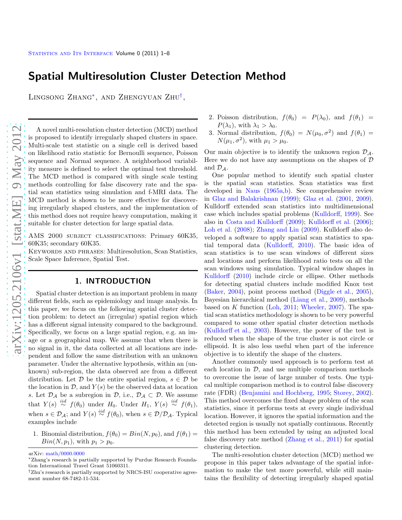# Spatial Multiresolution Cluster Detection Method

LINGSONG ZHANG<sup>\*</sup>, AND ZHENGYUAN ZHU<sup>[†](#page-0-1)</sup>,

A novel multi-resolution cluster detection (MCD) method is proposed to identify irregularly shaped clusters in space. Multi-scale test statistic on a single cell is derived based on likelihood ratio statistic for Bernoulli sequence, Poisson sequence and Normal sequence. A neighborhood variability measure is defined to select the optimal test threshold. The MCD method is compared with single scale testing methods controlling for false discovery rate and the spatial scan statistics using simulation and f-MRI data. The MCD method is shown to be more effective for discovering irregularly shaped clusters, and the implementation of this method does not require heavy computation, making it suitable for cluster detection for large spatial data.

AMS 2000 subject classifications: Primary 60K35, 60K35; secondary 60K35.

Keywords and phrases: Multiresolution, Scan Statistics, Scale Space Inference, Spatial Test.

# 1. INTRODUCTION

Spatial cluster detection is an important problem in many different fields, such as epidemiology and image analysis. In this paper, we focus on the following spatial cluster detection problem: to detect an (irregular) spatial region which has a different signal intensity compared to the background. Specifically, we focus on a large spatial region, e.g. an image or a geographical map. We assume that when there is no signal in it, the data collected at all locations are independent and follow the same distribution with an unknown parameter. Under the alternative hypothesis, within an (unknown) sub-region, the data observed are from a different distribution. Let  $D$  be the entire spatial region,  $s \in D$  be the location in  $\mathcal{D}$ , and  $Y(s)$  be the observed data at location s. Let  $\mathcal{D}_{\mathcal{A}}$  be a subregion in  $\mathcal{D}$ , i.e.,  $\mathcal{D}_{\mathcal{A}} \subset \mathcal{D}$ . We assume that  $Y(s) \stackrel{iid}{\sim} f(\theta_0)$  under  $H_0$ . Under  $H_1$ ,  $Y(s) \stackrel{iid}{\sim} f(\theta_1)$ , when  $s \in \mathcal{D}_{\mathcal{A}}$ ; and  $Y(s) \stackrel{iid}{\sim} f(\theta_0)$ , when  $s \in \mathcal{D}/\mathcal{D}_{\mathcal{A}}$ . Typical examples include

1. Binomial distribution,  $f(\theta_0) = Bin(N, p_0)$ , and  $f(\theta_1) =$  $Bin(N, p_1)$ , with  $p_1 > p_0$ .

arXiv: [math/0000.0000](http://arxiv.org/abs/math/0000.0000)

- 2. Poisson distribution,  $f(\theta_0) = P(\lambda_0)$ , and  $f(\theta_1) =$  $P(\lambda_1)$ , with  $\lambda_1 > \lambda_0$ .
- 3. Normal distribution,  $f(\theta_0) = N(\mu_0, \sigma^2)$  and  $f(\theta_1) =$  $N(\mu_1, \sigma^2)$ , with  $\mu_1 > \mu_0$ .

Our main objective is to identify the unknown region  $\mathcal{D}_{\mathcal{A}}$ . Here we do not have any assumptions on the shapes of  $D$ and  $\mathcal{D}_A$ .

One popular method to identify such spatial cluster is the spatial scan statistics. Scan statistics was first developed in [Naus](#page-13-0) [\(1965a](#page-13-0)[,b](#page-13-1)). See comprehensive review in [Glaz and Balakrishnan](#page-12-0) [\(1999\)](#page-12-0); [Glaz et al.](#page-12-1) [\(2001,](#page-12-1) [2009\)](#page-12-2). Kulldorff extended scan statistics into multidimensional case which includes spatial problems [\(Kulldorff](#page-12-3), [1999\)](#page-12-3). See also in [Costa and Kulldorff](#page-12-4) [\(2009](#page-12-4)); [Kulldorff et al.](#page-12-5) [\(2006\)](#page-12-5); [Loh et al.](#page-12-6) [\(2008\)](#page-12-6); [Zhang and Lin](#page-13-2) [\(2009\)](#page-13-2). Kulldorff also developed a software to apply spatial scan statistics to spatial temporal data [\(Kulldorff,](#page-12-7) [2010\)](#page-12-7). The basic idea of scan statistics is to use scan windows of different sizes and locations and perform likelihood ratio tests on all the scan windows using simulation. Typical window shapes in [Kulldorff](#page-12-7) [\(2010](#page-12-7)) include circle or ellipse. Other methods for detecting spatial clusters include modified Knox test [\(Baker,](#page-12-8) [2004\)](#page-12-8), point process method [\(Diggle et al.](#page-12-9), [2005\)](#page-12-9), Bayesian hierarchical method [\(Liang et al.](#page-12-10), [2009\)](#page-12-10), methods based on  $K$  function [\(Loh,](#page-12-11) [2011](#page-12-11); [Wheeler](#page-13-3), [2007\)](#page-13-3). The spatial scan statistics methodology is shown to be very powerful compared to some other spatial cluster detection methods [\(Kulldorff et al.,](#page-12-12) [2003\)](#page-12-12). However, the power of the test is reduced when the shape of the true cluster is not circle or ellipsoid. It is also less useful when part of the inference objective is to identify the shape of the clusters.

Another commonly used approach is to perform test at each location in  $\mathcal{D}$ , and use multiple comparison methods to overcome the issue of large number of tests. One typical multiple comparison method is to control false discovery rate (FDR) [\(Benjamini and Hochberg,](#page-12-13) [1995;](#page-12-13) [Storey,](#page-13-4) [2002\)](#page-13-4). This method overcomes the fixed shape problem of the scan statistics, since it performs tests at every single individual location. However, it ignores the spatial information and the detected region is usually not spatially continuous. Recently this method has been extended by using an adjusted local false discovery rate method [\(Zhang et al.](#page-13-5), [2011\)](#page-13-5) for spatial clustering detection.

The multi-resolution cluster detection (MCD) method we propose in this paper takes advantage of the spatial information to make the test more powerful, while still maintains the flexibility of detecting irregularly shaped spatial

<span id="page-0-0"></span><sup>∗</sup>Zhang's research is partially supported by Purdue Research Foundation International Travel Grant 51060311.

<span id="page-0-1"></span><sup>†</sup>Zhu's research is partially supported by NRCS-ISU cooperative agreement number 68-7482-11-534.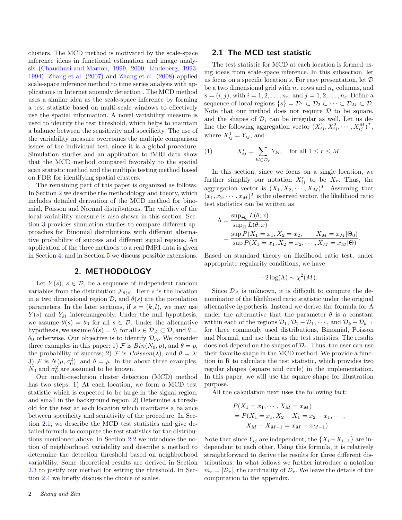clusters. The MCD method is motivated by the scale-space inference ideas in functional estimation and image analysis [\(Chaudhuri and Marron,](#page-12-14) [1999,](#page-12-14) [2000;](#page-12-15) [Lindeberg,](#page-12-16) [1993,](#page-12-16) [1994](#page-12-17)). [Zhang et al.](#page-13-6) [\(2007\)](#page-13-6) and [Zhang et al.](#page-13-7) [\(2008\)](#page-13-7) applied scale-space inference method to time series analysis with applications in Internet anomaly detection . The MCD method uses a similar idea as the scale-space inference by forming a test statistic based on multi-scale windows to effectively use the spatial information. A novel variability measure is used to identify the test threshold, which helps to maintain a balance between the sensitivity and specificity. The use of the variability measure overcomes the multiple comparison issues of the individual test, since it is a global procedure. Simulation studies and an application to fMRI data show that the MCD method compared favorably to the spatial scan statistic method and the multiple testing method based on FDR for identifying spatial clusters.

The remaining part of this paper is organized as follows. In Section [2](#page-1-0) we describe the methodology and theory, which includes detailed derivation of the MCD method for binomial, Poisson and Normal distributions. The validity of the local variability measure is also shown in this section. Section [3](#page-4-0) provides simulation studies to compare different approaches for Binomial distributions with different alternative probability of success and different signal regions. An application of the three methods to a real fMRI data is given in Section [4,](#page-7-0) and in Section [5](#page-9-0) we discuss possible extensions.

# 2. METHODOLOGY

<span id="page-1-0"></span>Let  $Y(s)$ ,  $s \in \mathcal{D}$ , be a sequence of independent random variables from the distribution  $\mathcal{F}_{\theta(s)}$ . Here s is the location in a two dimensional region  $\mathcal{D}$ , and  $\theta(s)$  are the population parameters. In the later sections, if  $s = (k, l)$ , we may use  $Y(s)$  and  $Y_{kl}$  interchangeably. Under the null hypothesis, we assume  $\theta(s) = \theta_0$  for all  $s \in \mathcal{D}$ . Under the alternative hypothesis, we assume  $\theta(s) = \theta_1$  for all  $s \in \mathcal{D}_\mathcal{A} \subset \mathcal{D}$ , and  $\theta =$  $\theta_0$  otherwise. Our objective is to identify  $\mathcal{D}_A$ . We consider three examples in this paper: 1) F is  $Bin(N_0, p)$ , and  $\theta = p$ , the probability of success; 2) F is  $Poisson(\lambda)$ , and  $\theta = \lambda$ ; 3)  $\mathcal F$  is  $N(\mu, \sigma_0^2)$ , and  $\theta = \mu$ . In the above three examples,  $N_0$  and  $\sigma_0^2$  are assumed to be known.

Our multi-resolution cluster detection (MCD) method has two steps: 1) At each location, we form a MCD test statistic which is expected to be large in the signal region, and small in the background region. 2) Determine a threshold for the test at each location which maintains a balance between specificity and sensitivity of the procedure. In Section [2.1,](#page-1-1) we describe the MCD test statistics and give detailed formula to compute the test statistics for the distributions mentioned above. In Section [2.2](#page-2-0) we introduce the notion of neighborhood variability and describe a method to determine the detection threshold based on neighborhood variability. Some theoretical results are derived in Section [2.3](#page-3-0) to justify our method for setting the threshold. In Section [2.4](#page-4-1) we briefly discuss the choice of scales.

<span id="page-1-1"></span>The test statistic for MCD at each location is formed using ideas from scale-space inference. In this subsection, let us focus on a specific location s. For easy presentation, let  $D$ be a two dimensional grid with  $n_r$  rows and  $n_c$  columns, and  $s = (i, j)$ , with  $i = 1, 2, ..., n_r$ , and  $j = 1, 2, ..., n_c$ . Define a sequence of local regions  $\{s\} = \mathcal{D}_1 \subset \mathcal{D}_2 \subset \cdots \subset \mathcal{D}_M \subset \mathcal{D}$ . Note that our method does not require  $D$  to be square, and the shapes of  $\mathcal{D}_i$  can be irregular as well. Let us define the following aggregation vector  $(X_{ij}^1, X_{ij}^2, \cdots, X_{ij}^M)^T$ , where  $X_{ij}^1 = Y_{ij}$ , and

(1) 
$$
X_{ij}^r = \sum_{kl \in \mathcal{D}_r} Y_{kl}, \quad \text{for all } 1 \le r \le M.
$$

In this section, since we focus on a single location, we further simplify our notation  $X_{ij}^r$  to be  $X_r$ . Thus, the aggregation vector is  $(X_1, X_2, \dots, X_M)^T$ . Assuming that  $(x_1, x_2, \dots, x_M)^T$  is the observed vector, the likelihood ratio test statistics can be written as

$$
\Lambda = \frac{\sup_{\Theta_0} L(\theta; x)}{\sup_{\Theta} L(\theta; x)} \n= \frac{\sup_{\Theta_0} P(X_1 = x_1, X_2 = x_2, \cdots, X_M = x_M | \Theta_0)}{\sup_{\Theta_0} P(X_1 = x_1, X_2 = x_2, \cdots, X_M = x_M | \Theta).
$$

Based on standard theory on likelihood ratio test, under appropriate regularity conditions, we have

$$
-2\log(\Lambda) \sim \chi^2(M).
$$

Since  $\mathcal{D}_{\mathcal{A}}$  is unknown, it is difficult to compute the denominator of the likelihood ratio statistic under the original alternative hypothesis. Instead we derive the formula for  $\Lambda$ under the alternative that the parameter  $\theta$  is a constant within each of the regions  $\mathcal{D}_1$ ,  $\mathcal{D}_2 - \mathcal{D}_1$ ,  $\cdots$ , and  $\mathcal{D}_k - \mathcal{D}_{k-1}$ for three commonly used distributions, Binomial, Poisson and Normal, and use them as the test statistics. The results does not depend on the shapes of  $\mathcal{D}_r$ . Thus, the user can use their favorite shape in the MCD method. We provide a function in R to calculate the test statistic, which provides two regular shapes (square and circle) in the implementation. In this paper, we will use the square shape for illustration purpose.

All the calculation next uses the following fact:

$$
P(X_1 = x_1, \cdots, X_M = x_M)
$$
  
=  $P(X_1 = x_1, X_2 - X_1 = x_2 - x_1, \cdots,$   
 $X_M - X_{M-1} = x_M - x_{M-1})$ 

Note that since  $Y_{ij}$  are independent, the  $\{X_i - X_{i-1}\}\$  are independent to each other. Using this formula, it is relatively straightforward to derive the results for three different distributions. In what follows we further introduce a notation  $m_r = |\mathcal{D}_r|$ , the cardinality of  $\mathcal{D}_r$ . We leave the details of the computation to the appendix.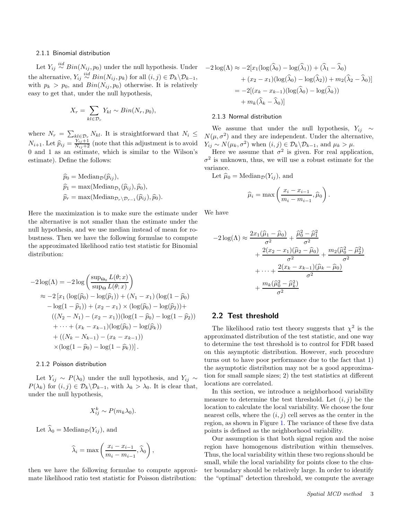#### 2.1.1 Binomial distribution

Let  $Y_{ij} \stackrel{iid}{\sim} Bin(N_{ij}, p_0)$  under the null hypothesis. Under the alternative,  $Y_{ij} \stackrel{iid}{\sim} Bin(N_{ij}, p_k)$  for all  $(i, j) \in \mathcal{D}_k \backslash \mathcal{D}_{k-1}$ , with  $p_k > p_0$ , and  $Bin(N_{ij}, p_0)$  otherwise. It is relatively easy to get that, under the null hypothesis,

$$
X_r = \sum_{kl \in \mathcal{D}_r} Y_{kl} \sim Bin(N_r, p_0),
$$

where  $N_r = \sum_{kl \in \mathcal{D}_r} N_{kl}$ . It is straightforward that  $N_i \leq$  $N_{i+1}$ . Let  $\widehat{p}_{ij} = \frac{Y_{ij}+1}{N_{ij}+2}$  (note that this adjustment is to avoid 0 and 1 as an estimate, which is similar to the Wilson's estimate). Define the follows:

$$
\widehat{p}_0 = \text{Median}_{\mathcal{D}}(\widehat{p}_{ij}),
$$
  
\n
$$
\widehat{p}_1 = \max(\text{Median}_{\mathcal{D}_1}(\widehat{p}_{ij}), \widehat{p}_0),
$$
  
\n
$$
\widehat{p}_r = \max(\text{Median}_{\mathcal{D}_r \setminus \mathcal{D}_{r-1}}(\widehat{p}_{ij}), \widehat{p}_0).
$$

Here the maximization is to make sure the estimate under the alternative is not smaller than the estimate under the null hypothesis, and we use median instead of mean for robustness. Then we have the following formulae to compute the approximated likelihood ratio test statistic for Binomial distribution:

$$
-2\log(\Lambda) = -2\log\left(\frac{\sup_{\Theta_0} L(\theta; x)}{\sup_{\Theta} L(\theta; x)}\right)
$$
  
\n
$$
\approx -2\left[x_1\left(\log(\widehat{p}_0) - \log(\widehat{p}_1)\right) + (N_1 - x_1)\left(\log(1 - \widehat{p}_0)\right)\right]
$$
  
\n
$$
-\log(1 - \widehat{p}_1) + (x_2 - x_1) \times \left(\log(\widehat{p}_0) - \log(\widehat{p}_2)\right) +
$$
  
\n
$$
((N_2 - N_1) - (x_2 - x_1))\left(\log(1 - \widehat{p}_0) - \log(1 - \widehat{p}_2)\right)
$$
  
\n
$$
+ \cdots + (x_k - x_{k-1})\left(\log(\widehat{p}_0) - \log(\widehat{p}_k)\right)
$$
  
\n
$$
+ ((N_k - N_{k-1}) - (x_k - x_{k-1}))
$$
  
\n
$$
\times (\log(1 - \widehat{p}_0) - \log(1 - \widehat{p}_k))].
$$

#### 2.1.2 Poisson distribution

Let  $Y_{ij} \sim P(\lambda_0)$  under the null hypothesis, and  $Y_{ij} \sim$  $P(\lambda_k)$  for  $(i, j) \in \mathcal{D}_k \backslash \mathcal{D}_{k-1}$ , with  $\lambda_k > \lambda_0$ . It is clear that, under the null hypothesis,

$$
X_{ij}^k \sim P(m_k \lambda_0).
$$

Let  $\widehat{\lambda}_0 = \text{Median}_{\mathcal{D}}(Y_{ij}),$  and

$$
\widehat{\lambda}_i = \max\left(\frac{x_i - x_{i-1}}{m_i - m_{i-1}}, \widehat{\lambda}_0\right),\,
$$

then we have the following formulae to compute approximate likelihood ratio test statistic for Poisson distribution:

$$
-2\log(\Lambda) \approx -2[x_1(\log(\widehat{\lambda}_0) - \log(\widehat{\lambda}_1)) + (\widehat{\lambda}_1 - \widehat{\lambda}_0)
$$
  
+  $(x_2 - x_1)(\log(\widehat{\lambda}_0) - \log(\widehat{\lambda}_2)) + m_2(\widehat{\lambda}_2 - \widehat{\lambda}_0)]$   
=  $-2[(x_k - x_{k-1})(\log(\widehat{\lambda}_0) - \log(\widehat{\lambda}_k))$   
+  $m_k(\widehat{\lambda}_k - \widehat{\lambda}_0)]$ 

#### 2.1.3 Normal distribution

We assume that under the null hypothesis,  $Y_{ij} \sim$  $N(\mu, \sigma^2)$  and they are independent. Under the alternative,  $Y_{ij} \sim N(\mu_k, \sigma^2)$  when  $(i, j) \in \mathcal{D}_k \backslash \mathcal{D}_{k-1}$ , and  $\mu_k > \mu$ .

Here we assume that  $\sigma^2$  is given. For real application,  $\sigma^2$  is unknown, thus, we will use a robust estimate for the variance.

Let  $\hat{\mu}_0 = \text{Median}_{\mathcal{D}}(Y_{ij}),$  and

$$
\widehat{\mu}_i = \max\left(\frac{x_i - x_{i-1}}{m_i - m_{i-1}}, \widehat{\mu}_0\right).
$$

We have

$$
-2\log(\Lambda) \approx \frac{2x_1(\hat{\mu}_1 - \hat{\mu}_0)}{\sigma^2} + \frac{\hat{\mu}_0^2 - \hat{\mu}_1^2}{\sigma^2} + \frac{2(x_2 - x_1)(\hat{\mu}_2 - \hat{\mu}_0)}{\sigma^2} + \frac{m_2(\hat{\mu}_0^2 - \hat{\mu}_2^2)}{\sigma^2} + \dots + \frac{2(x_k - x_{k-1})(\hat{\mu}_k - \hat{\mu}_0)}{\sigma^2} + \frac{m_k(\hat{\mu}_0^2 - \hat{\mu}_k^2)}{\sigma^2}
$$

#### <span id="page-2-0"></span>2.2 Test threshold

The likelihood ratio test theory suggests that  $\chi^2$  is the approximated distribution of the test statistic, and one way to determine the test threshold is to control for FDR based on this asymptotic distribution. However, such procedure turns out to have poor performance due to the fact that 1) the asymptotic distribution may not be a good approximation for small sample sizes; 2) the test statistics at different locations are correlated.

In this section, we introduce a neighborhood variability measure to determine the test threshold. Let  $(i, j)$  be the location to calculate the local variability. We choose the four nearest cells, where the  $(i, j)$  cell serves as the center in the region, as shown in Figure [1.](#page-3-1) The variance of these five data points is defined as the neighborhood variability.

Our assumption is that both signal region and the noise region have homogenous distribution within themselves. Thus, the local variability within these two regions should be small, while the local variability for points close to the cluster boundary should be relatively large. In order to identify the "optimal" detection threshold, we compute the average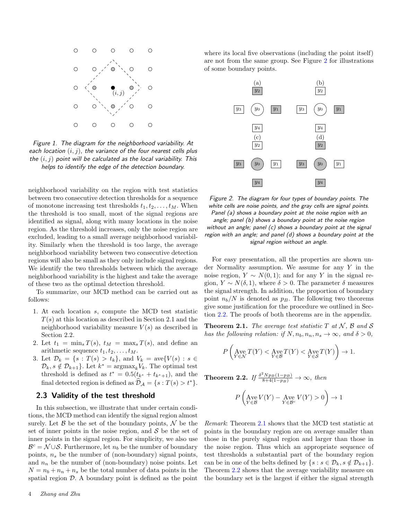

<span id="page-3-1"></span>Figure 1. The diagram for the neighborhood variability. At each location  $(i, j)$ , the variance of the four nearest cells plus the  $(i, j)$  point will be calculated as the local variability. This helps to identify the edge of the detection boundary.

neighborhood variability on the region with test statistics between two consecutive detection thresholds for a sequence of monotone increasing test thresholds  $t_1, t_2, \ldots, t_M$ . When the threshold is too small, most of the signal regions are identified as signal, along with many locations in the noise region. As the threshold increases, only the noise region are excluded, leading to a small average neighborhood variability. Similarly when the threshold is too large, the average neighborhood variability between two consecutive detection regions will also be small as they only include signal regions. We identify the two thresholds between which the average neighborhood variability is the highest and take the average of these two as the optimal detection threshold.

To summarize, our MCD method can be carried out as follows:

- 1. At each location s, compute the MCD test statistic  $T(s)$  at this location as described in Section 2.1 and the neighborhood variability measure  $V(s)$  as described in Section 2.2.
- 2. Let  $t_1 = \min_s T(s)$ ,  $t_M = \max_s T(s)$ , and define an arithmetic sequence  $t_1, t_2, \ldots, t_M$ .
- 3. Let  $\mathcal{D}_k = \{s : T(s) > t_k\}$ , and  $V_k = \text{ave}\{V(s) : s \in$  $\mathcal{D}_k$ ,  $s \notin \mathcal{D}_{k+1}$ . Let  $k^* = \operatorname{argmax}_k V_k$ . The optimal test threshold is defined as  $t^* = 0.5(t_{k^*} + t_{k^*+1})$ , and the final detected region is defined as  $\mathcal{D}_\mathcal{A} = \{s : T(s) > t^*\}.$

# <span id="page-3-0"></span>2.3 Validity of the test threshold

In this subsection, we illustrate that under certain conditions, the MCD method can identify the signal region almost surely. Let  $\beta$  be the set of the boundary points,  $\mathcal N$  be the set of inner points in the noise region, and  $\mathcal S$  be the set of inner points in the signal region. For simplicity, we also use  $\mathcal{B}^c = \mathcal{N} \cup \mathcal{S}$ . Furthermore, let  $n_b$  be the number of boundary points,  $n_s$  be the number of (non-boundary) signal points, and  $n_n$  be the number of (non-boundary) noise points. Let  $N = n_b + n_n + n_s$  be the total number of data points in the spatial region  $\mathcal{D}$ . A boundary point is defined as the point

where its local five observations (including the point itself) are not from the same group. See Figure [2](#page-3-2) for illustrations of some boundary points.



<span id="page-3-2"></span>Figure 2. The diagram for four types of boundary points. The white cells are noise points, and the gray cells are signal points. Panel (a) shows a boundary point at the noise region with an angle; panel (b) shows a boundary point at the noise region without an angle; panel (c) shows a boundary point at the signal region with an angle; and panel (d) shows a boundary point at the signal region without an angle.

For easy presentation, all the properties are shown under Normality assumption. We assume for any  $Y$  in the noise region,  $Y \sim N(0, 1)$ ; and for any Y in the signal region,  $Y \sim N(\delta, 1)$ , where  $\delta > 0$ . The parameter  $\delta$  measures the signal strength. In addition, the proportion of boundary point  $n_b/N$  is denoted as  $p_B$ . The following two theorems give some justification for the procedure we outlined in Section [2.2.](#page-2-0) The proofs of both theorems are in the appendix.

<span id="page-3-3"></span>**Theorem 2.1.** The average test statistic  $T$  at  $N$ ,  $\beta$  and  $\beta$ has the following relation: if  $N, n_b, n_n, n_s \to \infty$ , and  $\delta > 0$ ,

$$
P\left(\mathop{\rm Age}_{Y\in \mathcal{N}}T(Y)<\mathop{\rm Age}_{Y\in \mathcal{B}}T(Y)<\mathop{\rm Age}_{Y\in \mathcal{S}}T(Y)\right)\to 1.
$$

<span id="page-3-4"></span>**Theorem 2.2.** If  $\frac{\delta^2 N p_B(1-p_B)}{8+4(1-p_B)} \to \infty$ , then

$$
P\left(\underset{Y\in\mathcal{B}}{\operatorname{Ave}}V(Y)-\underset{Y\in\mathcal{B}^c}{\operatorname{Ave}}V(Y)>0\right)\rightarrow 1
$$

Remark: Theorem [2.1](#page-3-3) shows that the MCD test statistic at points in the boundary region are on average smaller than those in the purely signal region and larger than those in the noise region. Thus which an appropriate sequence of test thresholds a substantial part of the boundary region can be in one of the belts defined by  $\{s : s \in \mathcal{D}_k, s \notin \mathcal{D}_{k+1}\}.$ Theorem [2.2](#page-3-4) shows that the average variability measure on the boundary set is the largest if either the signal strength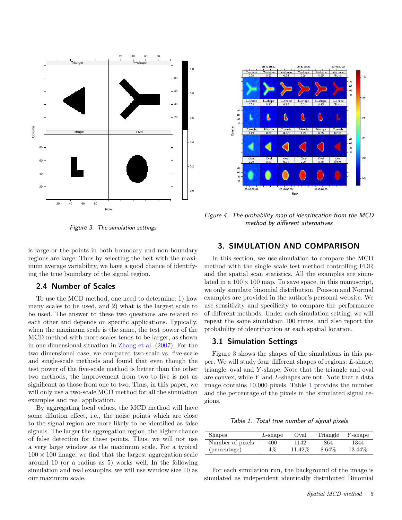

<span id="page-4-2"></span>Figure 3. The simulation settings

is large or the points in both boundary and non-boundary regions are large. Thus by selecting the belt with the maximum average variability, we have a good chance of identifying the true boundary of the signal region.

# <span id="page-4-1"></span>2.4 Number of Scales

To use the MCD method, one need to determine: 1) how many scales to be used, and 2) what is the largest scale to be used. The answer to these two questions are related to each other and depends on specific applications. Typically, when the maximum scale is the same, the test power of the MCD method with more scales tends to be larger, as shown in one dimensional situation in [Zhang et al.](#page-13-6) [\(2007\)](#page-13-6). For the two dimensional case, we compared two-scale vs. five-scale and single-scale methods and found that even though the test power of the five-scale method is better than the other two methods, the improvement from two to five is not as significant as those from one to two. Thus, in this paper, we will only use a two-scale MCD method for all the simulation examples and real application.

By aggregating local values, the MCD method will have some dilution effect, i.e., the noise points which are close to the signal region are more likely to be identified as false signals. The larger the aggregation region, the higher chance of false detection for these points. Thus, we will not use a very large window as the maximum scale. For a typical  $100 \times 100$  image, we find that the largest aggregation scale around 10 (or a radius as 5) works well. In the following simulation and real examples, we will use window size 10 as our maximum scale.



<span id="page-4-4"></span>Figure 4. The probability map of identification from the MCD method by different alternatives

# <span id="page-4-0"></span>3. SIMULATION AND COMPARISON

In this section, we use simulation to compare the MCD method with the single scale test method controlling FDR and the spatial scan statistics. All the examples are simulated in a  $100 \times 100$  map. To save space, in this manuscript, we only simulate binomial distribution. Poisson and Normal examples are provided in the author's personal website. We use sensitivity and specificity to compare the performance of different methods. Under each simulation setting, we will repeat the same simulation 100 times, and also report the probability of identification at each spatial location.

# 3.1 Simulation Settings

Figure [3](#page-4-2) shows the shapes of the simulations in this paper. We will study four different shapes of regions: L-shape, triangle, oval and Y -shape. Note that the triangle and oval are convex, while Y and L-shapes are not. Note that a data image contains 10,000 pixels. Table [1](#page-4-3) provides the number and the percentage of the pixels in the simulated signal regions.

<span id="page-4-3"></span>Table 1. Total true number of signal pixels

| <b>Shapes</b>    | $L$ -shape | Oval    | Triangle | $Y$ -shape |
|------------------|------------|---------|----------|------------|
| Number of pixels | 400        | 1142    | 864      | 1344       |
| (percentage)     | 4%         | 11.42\% | 8.64\%   | 13.44\%    |

For each simulation run, the background of the image is simulated as independent identically distributed Binomial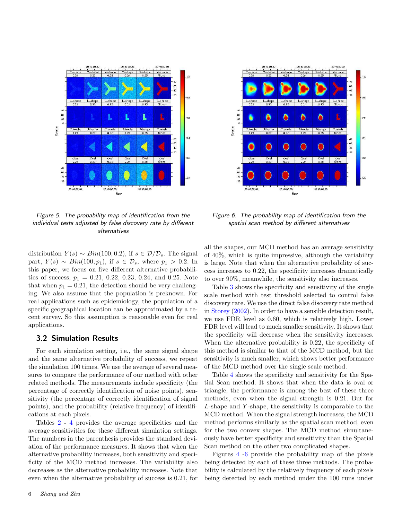



<span id="page-5-1"></span>Figure 5. The probability map of identification from the individual tests adjusted by false discovery rate by different alternatives

distribution  $Y(s) \sim Bin(100, 0.2)$ , if  $s \in \mathcal{D}/\mathcal{D}_s$ . The signal part,  $Y(s) \sim Bin(100, p_1)$ , if  $s \in \mathcal{D}_s$ , where  $p_1 > 0.2$ . In this paper, we focus on five different alternative probabilities of success,  $p_1 = 0.21, 0.22, 0.23, 0.24,$  and 0.25. Note that when  $p_1 = 0.21$ , the detection should be very challenging. We also assume that the population is preknown. For real applications such as epidemiology, the population of a specific geographical location can be approximated by a recent survey. So this assumption is reasonable even for real applications.

#### 3.2 Simulation Results

For each simulation setting, i.e., the same signal shape and the same alternative probability of success, we repeat the simulation 100 times. We use the average of several measures to compare the performance of our method with other related methods. The measurements include specificity (the percentage of correctly identification of noise points), sensitivity (the percentage of correctly identification of signal points), and the probability (relative frequency) of identifications at each pixels.

Tables [2](#page-6-0) - [4](#page-7-1) provides the average specificities and the average sensitivities for these different simulation settings. The numbers in the parenthesis provides the standard deviation of the performance measures. It shows that when the alternative probability increases, both sensitivity and specificity of the MCD method increases. The variability also decreases as the alternative probability increases. Note that even when the alternative probability of success is 0.21, for

<span id="page-5-0"></span>Figure 6. The probability map of identification from the spatial scan method by different alternatives

all the shapes, our MCD method has an average sensitivity of 40%, which is quite impressive, although the variability is large. Note that when the alternative probability of success increases to 0.22, the specificity increases dramatically to over 90%, meanwhile, the sensitivity also increases.

Table [3](#page-6-1) shows the specificity and sensitivity of the single scale method with test threshold selected to control false discovery rate. We use the direct false discovery rate method in [Storey](#page-13-4) [\(2002](#page-13-4)). In order to have a sensible detection result, we use FDR level as 0.60, which is relatively high. Lower FDR level will lead to much smaller sensitivity. It shows that the specificity will decrease when the sensitivity increases. When the alternative probability is 0.22, the specificity of this method is similar to that of the MCD method, but the sensitivity is much smaller, which shows better performance of the MCD method over the single scale method.

Table [4](#page-7-1) shows the specificity and sensitivity for the Spatial Scan method. It shows that when the data is oval or triangle, the performance is among the best of these three methods, even when the signal strength is 0.21. But for L-shape and Y -shape, the sensitivity is comparable to the MCD method. When the signal strength increases, the MCD method performs similarly as the spatial scan method, even for the two convex shapes. The MCD method simultaneously have better specificity and sensitivity than the Spatial Scan method on the other two complicated shapes.

Figures [4](#page-4-4) [-6](#page-5-0) provide the probability map of the pixels being detected by each of these three methods. The probability is calculated by the relatively frequency of each pixels being detected by each method under the 100 runs under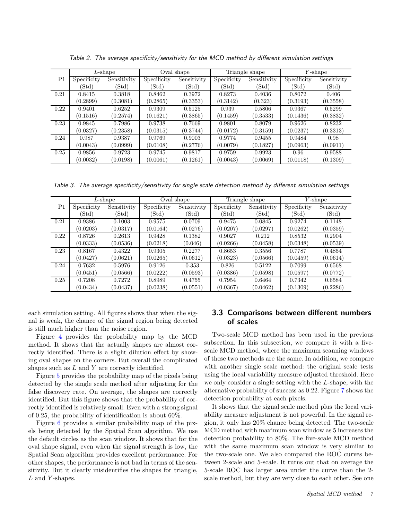|      | $L$ -shape  |             | Oval shape       |                  | Triangle shape |                  | $Y$ -shape       |                  |
|------|-------------|-------------|------------------|------------------|----------------|------------------|------------------|------------------|
| P1   | Specificity | Sensitivity | Specificity      | Sensitivity      | Specificity    | Sensitivity      | Specificity      | Sensitivity      |
|      | (Std)       | (Std)       | $(\mathrm{Std})$ | $(\mathrm{Std})$ | (Std)          | $(\mathrm{Std})$ | $(\mathrm{Std})$ | $(\mathrm{Std})$ |
| 0.21 | 0.8415      | 0.3818      | 0.8462           | 0.3972           | 0.8273         | 0.4036           | 0.8072           | 0.406            |
|      | (0.2899)    | (0.3081)    | (0.2865)         | (0.3353)         | (0.3142)       | (0.323)          | (0.3193)         | (0.3558)         |
| 0.22 | 0.9401      | 0.6252      | 0.9309           | 0.5125           | 0.939          | 0.5806           | 0.9367           | 0.5299           |
|      | (0.1516)    | (0.2574)    | (0.1621)         | (0.3865)         | (0.1459)       | (0.3533)         | (0.1436)         | (0.3832)         |
| 0.23 | 0.9845      | 0.7986      | 0.9738           | 0.7669           | 0.9801         | 0.8079           | 0.9626           | 0.8232           |
|      | (0.0327)    | (0.2358)    | (0.0315)         | (0.3744)         | (0.0172)       | (0.3159)         | (0.0237)         | (0.3313)         |
| 0.24 | 0.987       | 0.9387      | 0.9769           | 0.9003           | 0.9774         | 0.9455           | 0.9484           | 0.98             |
|      | (0.0043)    | (0.0999)    | (0.0108)         | (0.2776)         | (0.0079)       | (0.1827)         | (0.0963)         | (0.0911)         |
| 0.25 | 0.9856      | 0.9723      | 0.9745           | 0.9817           | 0.9759         | 0.9923           | 0.96             | 0.9588           |
|      | (0.0032)    | (0.0198)    | (0.0061)         | (0.1261)         | (0.0043)       | (0.0069)         | (0.0118)         | (0.1309)         |

<span id="page-6-0"></span>Table 2. The average specificity/sensitivity for the MCD method by different simulation settings

<span id="page-6-1"></span>Table 3. The average specificity/sensitivity for single scale detection method by different simulation settings

|      | $L$ -shape  |             | Oval shape  |             | Triangle shape |                  | $Y$ -shape       |                  |
|------|-------------|-------------|-------------|-------------|----------------|------------------|------------------|------------------|
| P1   | Specificity | Sensitivity | Specificity | Sensitivity | Specificity    | Sensitivity      | Specificity      | Sensitivity      |
|      | (Std)       | (Std)       | 'Std)       | (Std)       | 'Std)          | $(\mathrm{Std})$ | $(\mathrm{Std})$ | $(\mathrm{Std})$ |
| 0.21 | 0.9386      | 0.1003      | 0.9575      | 0.0709      | 0.9475         | 0.0845           | 0.9274           | 0.1148           |
|      | (0.0203)    | (0.0317)    | (0.0164)    | (0.0276)    | (0.0207)       | (0.0297)         | (0.0262)         | (0.0359)         |
| 0.22 | 0.8726      | 0.2613      | 0.9428      | 0.1382      | 0.9027         | 0.212            | 0.8532           | 0.2904           |
|      | (0.0333)    | (0.0536)    | (0.0218)    | (0.046)     | (0.0266)       | (0.0458)         | (0.0348)         | (0.0539)         |
| 0.23 | 0.8167      | 0.4322      | 0.9305      | 0.2277      | 0.8653         | 0.3556           | 0.7787           | 0.4854           |
|      | (0.0427)    | (0.0621)    | (0.0265)    | (0.0612)    | (0.0323)       | (0.0566)         | (0.0459)         | (0.0614)         |
| 0.24 | 0.7632      | 0.5976      | 0.9126      | 0.353       | 0.826          | 0.5122           | 0.7099           | 0.6568           |
|      | (0.0451)    | (0.0566)    | (0.0222)    | (0.0593)    | (0.0386)       | (0.0598)         | (0.0597)         | (0.0772)         |
| 0.25 | 0.7208      | 0.7272      | 0.8989      | 0.4755      | 0.7954         | 0.6464           | 0.7342           | 0.6584           |
|      | (0.0434)    | (0.0437)    | (0.0238)    | (0.0551)    | (0.0367)       | (0.0462)         | (0.1309)         | (0.2286)         |

each simulation setting. All figures shows that when the signal is weak, the chance of the signal region being detected is still much higher than the noise region.

Figure [4](#page-4-4) provides the probability map by the MCD method. It shows that the actually shapes are almost correctly identified. There is a slight dilution effect by showing oval shapes on the corners. But overall the complicated shapes such as  $L$  and  $Y$  are correctly identified.

Figure [5](#page-5-1) provides the probability map of the pixels being detected by the single scale method after adjusting for the false discovery rate. On average, the shapes are correctly identified. But this figure shows that the probability of correctly identified is relatively small. Even with a strong signal of 0.25, the probability of identification is about 60%.

Figure [6](#page-5-0) provides a similar probability map of the pixels being detected by the Spatial Scan algorithm. We use the default circles as the scan window. It shows that for the oval shape signal, even when the signal strength is low, the Spatial Scan algorithm provides excellent performance. For other shapes, the performance is not bad in terms of the sensitivity. But it clearly misidentifies the shapes for triangle, L and Y-shapes.

# 3.3 Comparisons between different numbers of scales

Two-scale MCD method has been used in the previous subsection. In this subsection, we compare it with a fivescale MCD method, where the maximum scanning windows of these two methods are the same. In addition, we compare with another single scale method: the original scale tests using the local variability measure adjusted threshold. Here we only consider a single setting with the L-shape, with the alternative probability of success as 0.22. Figure [7](#page-7-2) shows the detection probability at each pixels.

It shows that the signal scale method plus the local variability measure adjustment is not powerful. In the signal region, it only has 20% chance being detected. The two-scale MCD method with maximum scan window as 5 increases the detection probability to 80%. The five-scale MCD method with the same maximum scan window is very similar to the two-scale one. We also compared the ROC curves between 2-scale and 5-scale. It turns out that on average the 5-scale ROC has larger area under the curve than the 2 scale method, but they are very close to each other. See one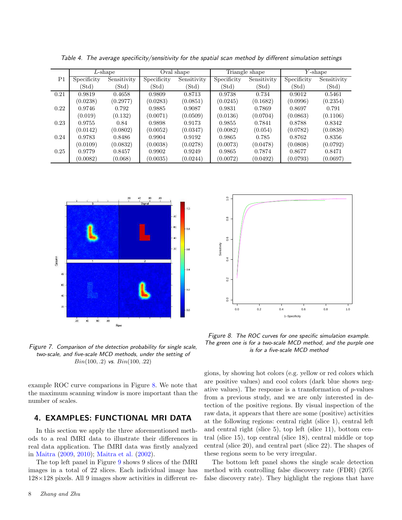|                | $L$ -shape       |                  | Oval shape       |             | Triangle shape |                  | $Y$ -shape       |                  |
|----------------|------------------|------------------|------------------|-------------|----------------|------------------|------------------|------------------|
| P <sub>1</sub> | Specificity      | Sensitivity      | Specificity      | Sensitivity | Specificity    | Sensitivity      | Specificity      | Sensitivity      |
|                | $(\mathrm{Std})$ | $(\mathrm{Std})$ | $(\mathrm{Std})$ | (Std)       | (Std)          | $(\mathrm{Std})$ | $(\mathrm{Std})$ | $(\mathrm{Std})$ |
| 0.21           | 0.9819           | 0.4658           | 0.9809           | 0.8713      | 0.9738         | 0.734            | 0.9012           | 0.5461           |
|                | (0.0238)         | (0.2977)         | (0.0283)         | (0.0851)    | (0.0245)       | (0.1682)         | (0.0996)         | (0.2354)         |
| 0.22           | 0.9746           | 0.792            | 0.9885           | 0.9087      | 0.9831         | 0.7869           | 0.8697           | 0.791            |
|                | (0.019)          | (0.132)          | (0.0071)         | (0.0509)    | (0.0136)       | (0.0704)         | (0.0863)         | (0.1106)         |
| 0.23           | 0.9755           | 0.84             | 0.9898           | 0.9173      | 0.9855         | 0.7841           | 0.8788           | 0.8342           |
|                | (0.0142)         | (0.0802)         | (0.0052)         | (0.0347)    | (0.0082)       | (0.054)          | (0.0782)         | (0.0838)         |
| 0.24           | 0.9783           | 0.8486           | 0.9904           | 0.9192      | 0.9865         | 0.785            | 0.8762           | 0.8356           |
|                | (0.0109)         | (0.0832)         | (0.0038)         | (0.0278)    | (0.0073)       | (0.0478)         | (0.0808)         | (0.0792)         |
| 0.25           | 0.9779           | 0.8457           | 0.9902           | 0.9249      | 0.9865         | 0.7874           | 0.8677           | 0.8471           |
|                | (0.0082)         | (0.068)          | (0.0035)         | (0.0244)    | (0.0072)       | (0.0492)         | (0.0793)         | (0.0697)         |

<span id="page-7-1"></span>Table 4. The average specificity/sensitivity for the spatial scan method by different simulation settings



<span id="page-7-2"></span>Figure 7. Comparison of the detection probability for single scale, two-scale, and five-scale MCD methods, under the setting of  $Bin(100, .2)$  vs.  $Bin(100, .22)$ 

example ROC curve comparions in Figure [8.](#page-7-3) We note that the maximum scanning window is more important than the number of scales.

### <span id="page-7-0"></span>4. EXAMPLES: FUNCTIONAL MRI DATA

In this section we apply the three aforementioned methods to a real fMRI data to illustrate their differences in real data application. The fMRI data was firstly analyzed in [Maitra](#page-12-18) [\(2009,](#page-12-18) [2010\)](#page-12-19); [Maitra et al.](#page-12-20) [\(2002\)](#page-12-20).

The top left panel in Figure [9](#page-8-0) shows 9 slices of the fMRI images in a total of 22 slices. Each individual image has  $128\times128$  pixels. All 9 images show activities in different re-



<span id="page-7-3"></span>Figure 8. The ROC curves for one specific simulation example. The green one is for a two-scale MCD method, and the purple one is for a five-scale MCD method

gions, by showing hot colors (e.g. yellow or red colors which are positive values) and cool colors (dark blue shows negative values). The response is a transformation of  $p$ -values from a previous study, and we are only interested in detection of the positive regions. By visual inspection of the raw data, it appears that there are some (positive) activities at the following regions: central right (slice 1), central left and central right (slice 5), top left (slice 11), bottom central (slice 15), top central (slice 18), central middle or top central (slice 20), and central part (slice 22). The shapes of these regions seem to be very irregular.

The bottom left panel shows the single scale detection method with controlling false discovery rate (FDR) (20% false discovery rate). They highlight the regions that have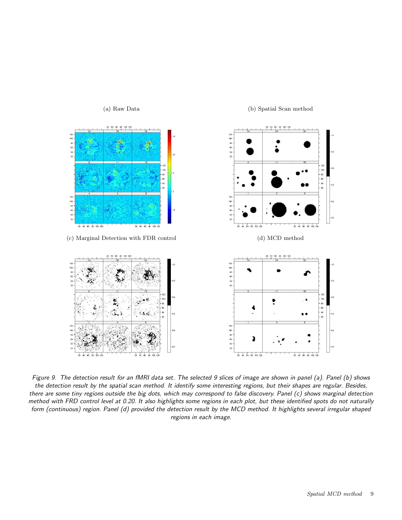

<span id="page-8-0"></span>Figure 9. The detection result for an fMRI data set. The selected 9 slices of image are shown in panel (a). Panel (b) shows the detection result by the spatial scan method. It identify some interesting regions, but their shapes are regular. Besides, there are some tiny regions outside the big dots, which may correspond to false discovery. Panel (c) shows marginal detection method with FRD control level at 0.20. It also highlights some regions in each plot, but these identified spots do not naturally form (continuous) region. Panel (d) provided the detection result by the MCD method. It highlights several irregular shaped regions in each image.

#### (a) Raw Data (b) Spatial Scan method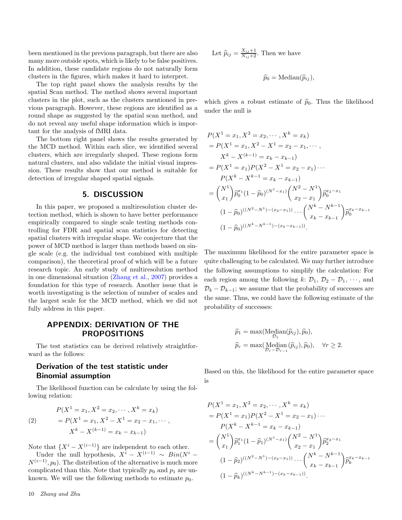been mentioned in the previous paragraph, but there are also many more outside spots, which is likely to be false positives. In addition, these candidate regions do not naturally form clusters in the figures, which makes it hard to interpret.

The top right panel shows the analysis results by the spatial Scan method. The method shows several important clusters in the plot, such as the clusters mentioned in previous paragraph. However, these regions are identified as a round shape as suggested by the spatial scan method, and do not reveal any useful shape information which is important for the analysis of fMRI data.

The bottom right panel shows the results generated by the MCD method. Within each slice, we identified several clusters, which are irregularly shaped. These regions form natural clusters, and also validate the initial visual impression. These results show that our method is suitable for detection of irregular shaped spatial signals.

# 5. DISCUSSION

<span id="page-9-0"></span>In this paper, we proposed a multiresolution cluster detection method, which is shown to have better performance empirically compared to single scale testing methods controlling for FDR and spatial scan statistics for detecting spatial clusters with irregular shape. We conjecture that the power of MCD method is larger than methods based on single scale (e.g. the individual test combined with multiple comparison), the theoretical proof of which will be a future research topic. An early study of multiresolution method in one dimensional situation [\(Zhang et al.,](#page-13-6) [2007](#page-13-6)) provides a foundation for this type of research. Another issue that is worth investigating is the selection of number of scales and the largest scale for the MCD method, which we did not fully address in this paper.

# APPENDIX: DERIVATION OF THE PROPOSITIONS

The test statistics can be derived relatively straightforward as the follows:

# Derivation of the test statistic under Binomial assumption

The likelihood function can be calculate by using the following relation:

<span id="page-9-1"></span>(2) 
$$
P(X^1 = x_1, X^2 = x_2, \cdots, X^k = x_k)
$$

$$
= P(X^1 = x_1, X^2 - X^1 = x_2 - x_1, \cdots,
$$

$$
X^k - X^{(k-1)} = x_k - x_{k-1})
$$

Note that  $\{X^{i} - X^{(i-1)}\}$  are independent to each other.

Under the null hypothesis,  $X^i - X^{(i-1)} \sim Bin(N^i N^{(i-1)}, p_0$ ). The distribution of the alternative is much more complicated than this. Note that typically  $p_0$  and  $p_1$  are unknown. We will use the following methods to estimate  $p_0$ .

#### 10 Zhang and Zhu

Let  $\widehat{p}_{ij} = \frac{X_{ij}+1}{N_{ij}+2}$ . Then we have

$$
\widehat{p}_0 = \text{Median}(\widehat{p}_{ij}),
$$

which gives a robust estimate of  $\hat{p}_0$ . Thus the likelihood under the null is

$$
P(X1 = x1, X2 = x2,..., Xk = xk)
$$
  
=  $P(X1 = x1, X2 - X1 = x2 - x1,...,$   
 $Xk - X(k-1) = xk - xk-1)$   
=  $P(X1 = x1)P(X2 - X1 = x2 - x1)...$   
 $P(Xk - Xk-1 = xk - xk-1)$   
=  $\binom{N1}{x1} \hat{p}x1 (1 - \hat{p}0)^{(N1 - x1)} \binom{N2 - N1}{x2 - x1} \hat{p}x2 - x1$   
 $(1 - \hat{p}0)^{((N2 - N1) - (x2 - x1))} ... \binom{Nk - Nk-1}{xk - xk-1} \hat{p}xk - xk-1$   
 $(1 - \hat{p}0)^{((Nk - Nk-1) - (xk - xk-1))}.$ 

The maximum likelihood for the entire parameter space is quite challenging to be calculated. We may further introduce the following assumptions to simplify the calculation: For each region among the following k:  $\mathcal{D}_1$ ,  $\mathcal{D}_2 - \mathcal{D}_1$ ,  $\cdots$ , and  $\mathcal{D}_k - \mathcal{D}_{k-1}$ ; we assume that the probability of successes are the same. Thus, we could have the following estimate of the probability of successes:

$$
\widehat{p}_1 = \max(\underset{\mathcal{D}_1}{\text{Median}(\widehat{p}_{ij}), \widehat{p}_0}),
$$
  

$$
\widehat{p}_r = \max(\underset{\mathcal{D}_r - \mathcal{D}_{r-1}}{\text{Median}(\widehat{p}_{ij}), \widehat{p}_0}), \quad \forall r \ge 2.
$$

Based on this, the likelihood for the entire parameter space is

$$
P(X^1 = x_1, X^2 = x_2, \dots, X^k = x_k)
$$
  
=  $P(X^1 = x_1)P(X^2 - X^1 = x_2 - x_1) \dots$   
 $P(X^k - X^{k-1} = x_k - x_{k-1})$   
 $= {N^1 \choose x_1} \hat{p}_1^{x_1} (1 - \hat{p}_1)^{(N^1 - x_1)} {N^2 - N^1 \choose x_2 - x_1} \hat{p}_2^{x_2 - x_1}$   
 $(1 - \hat{p}_2)^{((N^2 - N^1) - (x_2 - x_1))} \dots {N^k - N^{k-1} \choose x_k - x_{k-1}} \hat{p}_k^{x_k - x_{k-1}}$   
 $(1 - \hat{p}_k)^{((N^k - N^{k-1}) - (x_k - x_{k-1}))}.$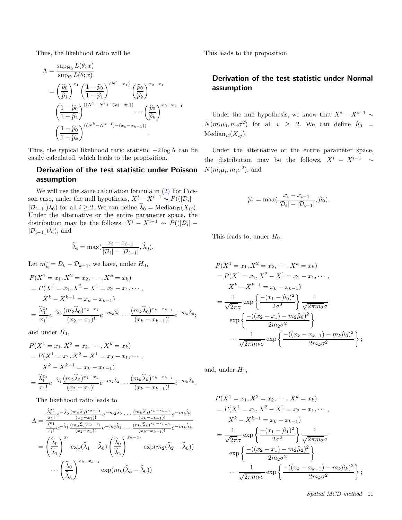Thus, the likelihood ratio will be

$$
\begin{split} \Lambda &= \frac{\sup_{\Theta_0} L(\theta; x)}{\sup_{\Theta} L(\theta; x)} \\ &= \left(\frac{\widehat{p}_0}{\widehat{p}_1}\right)^{x_1} \left(\frac{1-\widehat{p}_0}{1-\widehat{p}_1}\right)^{(N^1 - x_1)} \left(\frac{\widehat{p}_0}{\widehat{p}_2}\right)^{x_2 - x_1} \\ &\left(\frac{1-\widehat{p}_0}{1-\widehat{p}_2}\right)^{((N^2 - N^1) - (x_2 - x_1))} \cdots \left(\frac{\widehat{p}_0}{\widehat{p}_k}\right)^{x_k - x_{k-1}} \\ &\left(\frac{1-\widehat{p}_0}{1-\widehat{p}_k}\right)^{((N^k - N^{k-1}) - (x_k - x_{k-1}))} .\end{split}
$$

Thus, the typical likelihood ratio statistic  $-2 \log \Lambda$  can be easily calculated, which leads to the proposition.

# Derivation of the test statistic under Poisson assumption

We will use the same calculation formula in [\(2\)](#page-9-1) For Poisson case, under the null hypothesis,  $X^i - X^{i-1} \sim P(|\mathcal{D}_i| |\mathcal{D}_{i-1}|$ ) $\lambda_0$ ) for all  $i \geq 2$ . We can define  $\lambda_0 = \text{Median}_{\mathcal{D}}(X_{ij})$ . Under the alternative or the entire parameter space, the distribution may be the follows,  $X^i - X^{i-1} \sim P(|\mathcal{D}_i| |\mathcal{D}_{i-1}|$ ) $\lambda_i$ ), and

$$
\widehat{\lambda}_i = \max(\frac{x_i - x_{i-1}}{|\mathcal{D}_i| - |\mathcal{D}_{i-1}|}, \widehat{\lambda}_0).
$$

Let  $m_k^* = \mathcal{D}_k - \mathcal{D}_{k-1}$ , we have, under  $H_0$ ,

$$
P(X1 = x1, X2 = x2, ..., Xk = xk)
$$
  
=  $P(X1 = x1, X2 - X1 = x2 - x1, ...,$   
 $Xk - Xk-1 = xk - xk-1)$   
=  $\frac{\hat{\lambda}0x1}{x1}e^{-\hat{\lambda}0} \frac{(m2\hat{\lambda}0)x2-x1}{(x2 - x1)!}e^{-m2\hat{\lambda}0} ... \frac{(mk\hat{\lambda}0)xk-xk-1}{(xk - xk-1)!}e^{-mk\hat{\lambda}0};$ 

and under  $H_1$ ,

$$
P(X1 = x1, X2 = x2, ..., Xk = xk)
$$
  
=  $P(X1 = x1, X2 - X1 = x2 - x1, ...,$   
 $Xk - Xk-1 = xk - xk-1)$   
=  $\frac{\hat{\lambda}1x1}{x1} e-\hat{\lambda}1 \frac{(m2\hat{\lambda}2)x2-x1}{(x2 - x1)!} e-m2\hat{\lambda}2 ... \frac{(mk\hat{\lambda}k)xk-xk-1}{(xk - xk-1)!} e-mk\hat{\lambda}k.$ 

The likelihood ratio leads to

$$
\Lambda = \frac{\frac{\widehat{\lambda}_{0}^{x_{1}}}{x_{1}!}e^{-\widehat{\lambda}_{0}}\frac{(m_{2}\widehat{\lambda}_{0})^{x_{2}-x_{1}}}{(x_{2}-x_{1})!}e^{-m_{2}\widehat{\lambda}_{0}}\dots\frac{(m_{k}\widehat{\lambda}_{0})^{x_{k}-x_{k-1}}}{(x_{k}-x_{k-1})!}e^{-m_{k}\widehat{\lambda}_{0}}
$$
\n
$$
= \left(\frac{\widehat{\lambda}_{0}}{\widehat{\lambda}_{1}}\right)^{x_{1}}e^{-\widehat{\lambda}_{1}}\frac{(m_{2}\widehat{\lambda}_{2})^{x_{2}-x_{1}}}{(x_{2}-x_{1})!}e^{-m_{2}\widehat{\lambda}_{2}}\dots\frac{(m_{k}\widehat{\lambda}_{k})^{x_{k}-x_{k-1}}}{(x_{k}-x_{k-1})!}e^{-m_{k}\widehat{\lambda}_{k}}
$$
\n
$$
= \left(\frac{\widehat{\lambda}_{0}}{\widehat{\lambda}_{1}}\right)^{x_{1}}\exp(\widehat{\lambda}_{1}-\widehat{\lambda}_{0})\left(\frac{\widehat{\lambda}_{0}}{\widehat{\lambda}_{2}}\right)^{x_{2}-x_{1}}\exp(m_{2}(\widehat{\lambda}_{2}-\widehat{\lambda}_{0}))
$$
\n
$$
\dots\left(\frac{\widehat{\lambda}_{0}}{\widehat{\lambda}_{k}}\right)^{x_{k}-x_{k-1}}\exp(m_{k}(\widehat{\lambda}_{k}-\widehat{\lambda}_{0}))
$$

This leads to the proposition

# Derivation of the test statistic under Normal assumption

Under the null hypothesis, we know that  $X^{i} - X^{i-1} \sim$  $N(m_i\mu_0, m_i\sigma^2)$  for all  $i \geq 2$ . We can define  $\hat{\mu}_0$  =  $Median_{\mathcal{D}}(X_{ij}).$ 

Under the alternative or the entire parameter space, the distribution may be the follows,  $X^i - X^{i-1} \sim$  $N(m_i\mu_i, m_i\sigma^2)$ , and

$$
\widehat{\mu}_i = \max(\frac{x_i - x_{i-1}}{|\mathcal{D}_i| - |\mathcal{D}_{i-1}|}, \widehat{\mu}_0).
$$

This leads to, under  $H_0$ ,

$$
P(X^{1} = x_{1}, X^{2} = x_{2}, \cdots, X^{k} = x_{k})
$$
  
=  $P(X^{1} = x_{1}, X^{2} - X^{1} = x_{2} - x_{1}, \cdots,$   
 $X^{k} - X^{k-1} = x_{k} - x_{k-1})$   
=  $\frac{1}{\sqrt{2\pi}\sigma} \exp\left\{\frac{-(x_{1} - \hat{\mu}_{0})^{2}}{2\sigma^{2}}\right\} \frac{1}{\sqrt{2\pi m_{2}\sigma}}$   
 $\exp\left\{\frac{-(x_{2} - x_{1}) - m_{2}\hat{\mu}_{0})^{2}}{2m_{2}\sigma^{2}}\right\}$   
 $\cdots \frac{1}{\sqrt{2\pi m_{k}\sigma}} \exp\left\{\frac{-(x_{k} - x_{k-1}) - m_{k}\hat{\mu}_{0})^{2}}{2m_{k}\sigma^{2}}\right\};$ 

and, under  $H_1$ ,

$$
P(X^{1} = x_{1}, X^{2} = x_{2}, \cdots, X^{k} = x_{k})
$$
  
=  $P(X^{1} = x_{1}, X^{2} - X^{1} = x_{2} - x_{1}, \cdots,$   
 $X^{k} - X^{k-1} = x_{k} - x_{k-1})$   
=  $\frac{1}{\sqrt{2\pi}\sigma} \exp\left\{\frac{-(x_{1} - \hat{\mu}_{1})^{2}}{2\sigma^{2}}\right\} \frac{1}{\sqrt{2\pi m_{2}\sigma}}$   
 $\exp\left\{\frac{-(x_{2} - x_{1}) - m_{2}\hat{\mu}_{2})^{2}}{2m_{2}\sigma^{2}}\right\}$   
 $\cdots \frac{1}{\sqrt{2\pi m_{k}\sigma}} \exp\left\{\frac{-(x_{k} - x_{k-1}) - m_{k}\hat{\mu}_{k})^{2}}{2m_{k}\sigma^{2}}\right\};$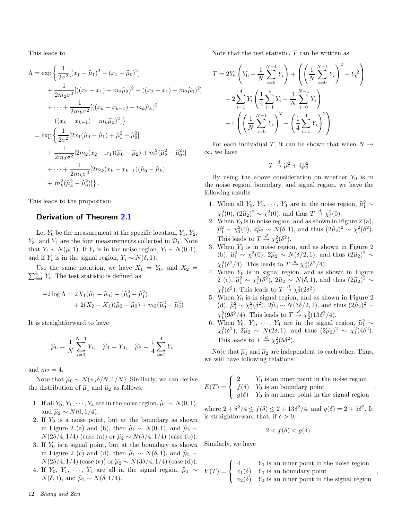This leads to

$$
\Lambda = \exp\left\{\frac{1}{2\sigma^2}[(x_1 - \hat{\mu}_1)^2 - (x_1 - \hat{\mu}_0)^2] + \frac{1}{2m_2\sigma^2}[((x_2 - x_1) - m_2\hat{\mu}_2)^2 - ((x_2 - x_1) - m_2\hat{\mu}_0)^2] \right\}
$$
  

$$
+ \cdots + \frac{1}{2m_k\sigma^2}[((x_k - x_{k-1}) - m_k\hat{\mu}_k)^2
$$
  

$$
- ((x_k - x_{k-1}) - m_k\hat{\mu}_0)^2]\}
$$
  

$$
= \exp\left\{\frac{1}{2\sigma^2}[2x_1(\hat{\mu}_0 - \hat{\mu}_1) + \hat{\mu}_1^2 - \hat{\mu}_0^2] + \frac{1}{2m_2\sigma^2}[2m_2(x_2 - x_1)(\hat{\mu}_0 - \hat{\mu}_2) + m_2^2(\hat{\mu}_2^2 - \hat{\mu}_0^2)] + \cdots + \frac{1}{2m_k\sigma^2}[2m_k(x_k - x_{k-1})(\hat{\mu}_0 - \hat{\mu}_k) + m_k^2(\hat{\mu}_k^2 - \hat{\mu}_0^2)]\}.
$$

This leads to the proposition

# Derivation of Theorem [2.1](#page-3-3)

Let  $Y_0$  be the measurement at the specific location,  $Y_1, Y_2,$  $Y_3$ , and  $Y_4$  are the four measurements collected in  $\mathcal{D}_1$ . Note that  $Y_i \sim N(\mu, 1)$ . If  $Y_i$  is in the noise region,  $Y_i \sim N(0, 1)$ , and if  $Y_i$  is in the signal region,  $Y_i \sim N(\delta, 1)$ .

Use the same notation, we have  $X_1 = Y_0$ , and  $X_2 =$  $\sum_{i=0}^{4} Y_i$ . The test statistic is defined as

$$
-2\log \Lambda = 2X_1(\hat{\mu}_1 - \hat{\mu}_0) + (\hat{\mu}_0^2 - \hat{\mu}_1^2) + 2(X_2 - X_1)(\hat{\mu}_2 - \hat{\mu}_0) + m_2(\hat{\mu}_0^2 - \hat{\mu}_2^2)
$$

It is straightforward to have

$$
\widehat{\mu}_0 = \frac{1}{N} \sum_{i=0}^{N-1} Y_i, \quad \widehat{\mu}_1 = Y_0, \quad \widehat{\mu}_2 = \frac{1}{4} \sum_{i=1}^{4} Y_i
$$

,

and  $m_2 = 4$ .

Note that  $\hat{\mu}_0 \sim N(n_s \delta/N, 1/N)$ . Similarly, we can derive the distribution of  $\hat{\mu}_1$  and  $\hat{\mu}_2$  as follows.

- 1. If all  $Y_0, Y_1, \dots, Y_4$  are in the noise region,  $\hat{\mu}_1 \sim N(0, 1)$ , and  $\hat{\mu}_2 \sim N(0, 1/4)$ .
- 2. If  $Y_0$  is a noise point, but at the boundary as shown in Figure 2 (a) and (b), then  $\hat{\mu}_1 \sim N(0, 1)$ , and  $\hat{\mu}_2 \sim$  $N(2\delta/4, 1/4)$  (case (a)) or  $\hat{\mu}_2 \sim N(\delta/4, 1/4)$  (case (b)).
- 3. If  $Y_0$  is a signal point, but at the boundary as shown in Figure 2 (c) and (d), then  $\hat{\mu}_1 \sim N(\delta, 1)$ , and  $\hat{\mu}_2 \sim$  $N(2\delta/4, 1/4)$  (case (c)) or  $\hat{\mu}_2 \sim N(3\delta/4, 1/4)$  (case (d)).
- 4. If  $Y_0, Y_1, \cdots, Y_4$  are all in the signal region,  $\hat{\mu}_1 \sim$  $N(\delta, 1)$ , and  $\hat{\mu}_2 \sim N(\delta, 1/4)$ .

Note that the test statistic,  $T$  can be written as

$$
T = 2Y_0 \left(Y_0 - \frac{1}{N} \sum_{i=0}^{N-1} Y_i\right) + \left(\left(\frac{1}{N} \sum_{i=0}^{N-1} Y_i\right)^2 - Y_0^2\right) + 2 \sum_{i=1}^4 Y_i \left(\frac{1}{4} \sum_{i=1}^4 Y_i - \frac{1}{N} \sum_{i=0}^{N-1} Y_i\right) + 4 \left(\left(\frac{1}{N} \sum_{i=0}^{N-1} Y_i\right)^2 - \left(\frac{1}{4} \sum_{i=1}^4 Y_i\right)^2\right)
$$

For each individual T, it can be shown that when  $N \rightarrow$  $\infty$ , we have

$$
T \stackrel{d}{\rightarrow} \widehat{\mu}_1^2 + 4\widehat{\mu}_2^2
$$

By using the above consideration on whether  $Y_0$  is in the noise region, boundary, and signal region, we have the following results

- 1. When all  $Y_0, Y_1, \dots, Y_4$  are in the noise region,  $\hat{\mu}_1^2 \sim$  $\chi_1^2(0), (2\hat{\mu}_2)^2 \sim \chi_1^2(0),$  and thus  $T \stackrel{d}{\rightarrow} \chi_2^2(0)$ .
- 2. When  $Y_0$  is in noise region, and as shown in Figure 2 (a),  $\hat{\mu}_1^2 \sim \chi_1^2(0), 2\hat{\mu}_2 \sim N(\delta, 1),$  and thus  $(2\hat{\mu}_2)^2 \sim \chi_1^2(\delta^2)$ . This leads to  $T \stackrel{d}{\rightarrow} \chi_2^2(\delta^2)$ .
- 3. When  $Y_0$  is in noise region, and as shown in Figure 2 (b),  $\hat{\mu}_1^2 \sim \chi_1^2(0)$ ,  $2\hat{\mu}_2 \sim N(\delta/2, 1)$ , and thus  $(2\hat{\mu}_2)^2 \sim$  $\chi_1^2(\delta^2/4)$ . This leads to  $T \stackrel{d}{\rightarrow} \chi_2^2(\delta^2/4)$ .
- 4. When  $Y_0$  is in signal region, and as shown in Figure 2 (c),  $\hat{\mu}_1^2 \sim \chi_1^2(\delta^2)$ ,  $2\hat{\mu}_2 \sim N(\delta, 1)$ , and thus  $(2\hat{\mu}_2)^2 \sim$  $\chi_1^2(\delta^2)$ . This leads to  $T \stackrel{d}{\rightarrow} \chi_2^2(2\delta^2)$ .
- 5. When  $Y_0$  is in signal region, and as shown in Figure 2 (d),  $\hat{\mu}_1^2 \sim \chi_1^2(\delta^2)$ ,  $2\hat{\mu}_2 \sim N(3\delta/2, 1)$ , and thus  $(2\hat{\mu}_2)^2 \sim$  $\chi_1^2(9\delta^2/4)$ . This leads to  $T \stackrel{d}{\rightarrow} \chi_2^2(13\delta^2/4)$ .
- 6. When  $Y_0, Y_1, \cdots, Y_4$  are in the signal region,  $\hat{\mu}_1^2 \sim$ <br> $\frac{2(f_1^2, 2)}{2} \approx 2(15^2)$  $\chi_1^2(\delta^2)$ ,  $2\hat{\mu}_2 \sim N(2\delta, 1)$ , and thus  $(2\hat{\mu}_2)^2 \sim \chi_1^2(4\delta^2)$ . This leads to  $T \stackrel{d}{\rightarrow} \chi_2^2(5\delta^2)$ .

Note that  $\hat{\mu}_1$  and  $\hat{\mu}_2$  are independent to each other. Thus, we will have following relations:

$$
E(T) = \begin{cases} 2 & Y_0 \text{ is an inner point in the noise region} \\ f(\delta) & Y_0 \text{ is an boundary point} \\ g(\delta) & Y_0 \text{ is an inner point in the signal region} \end{cases}
$$

,

,

where  $2 + \delta^2/4 \le f(\delta) \le 2 + 13\delta^2/4$ , and  $g(\delta) = 2 + 5\delta^2$ . It is straightforward that, if  $\delta > 0$ ,

$$
2 < f(\delta) < g(\delta).
$$

Similarly, we have

$$
V(T) = \begin{cases} 4 & Y_0 \text{ is an inner point in the noise region} \\ v_1(\delta) & Y_0 \text{ is an boundary point} \\ v_2(\delta) & Y_0 \text{ is an inner point in the signal region} \end{cases}
$$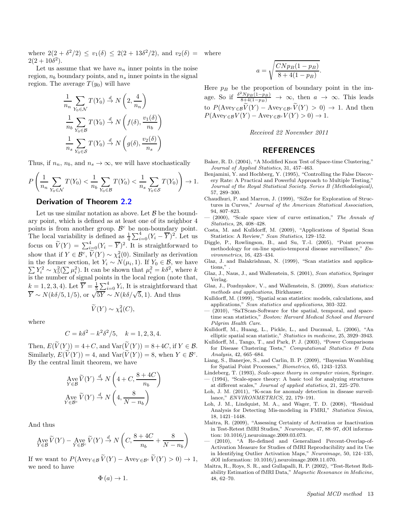where  $2(2 + \delta^2/2) \le v_1(\delta) \le 2(2 + 13\delta^2/2)$ , and  $v_2(\delta) =$  $2(2+10\delta^2)$ .

Let us assume that we have  $n_n$  inner points in the noise region,  $n_b$  boundary points, and  $n_s$  inner points in the signal region. The average  $T(y_0)$  will have

$$
\frac{1}{n_n} \sum_{Y_0 \in \mathcal{N}} T(Y_0) \stackrel{d}{\to} N\left(2, \frac{4}{n_n}\right)
$$
  

$$
\frac{1}{n_b} \sum_{Y_0 \in \mathcal{B}} T(Y_0) \stackrel{d}{\to} N\left(f(\delta), \frac{v_1(\delta)}{n_b}\right)
$$
  

$$
\frac{1}{n_s} \sum_{Y_0 \in \mathcal{S}} T(Y_0) \stackrel{d}{\to} N\left(g(\delta), \frac{v_2(\delta)}{n_s}\right)
$$

Thus, if  $n_n$ ,  $n_b$ , and  $n_s \to \infty$ , we will have stochastically

$$
P\left(\frac{1}{n_n}\sum_{Y_0\in\mathcal{N}}T(Y_0)<\frac{1}{n_b}\sum_{Y_0\in\mathcal{B}}T(Y_0)<\frac{1}{n_s}\sum_{Y_0\in\mathcal{S}}T(Y_0)\right)\to 1.
$$

# Derivation of Theorem [2.2](#page-3-4)

Let us use similar notation as above. Let  $\beta$  be the boundary point, which is defined as at least one of its neighbor 4 points is from another group.  $\beta$ points is from another group.  $\mathcal{B}^c$  be non-boundary point. The local variability is defined as  $\frac{1}{4} \sum_{i=0}^{4} (Y_i - \overline{Y})^2$ . Let us focus on  $\widetilde{V}(Y) = \sum_{i=0}^{4} (Y_i - \overline{Y})^2$ . It is straightforward to show that if  $Y \in \mathcal{B}^c$ ,  $\widetilde{V}(Y) \sim \chi_4^2(0)$ . Similarly as derivation in the former section, let  $Y_i \sim N(\mu_i, 1)$ . If  $Y_0 \in \mathcal{B}$ , we have in the former section, let  $Y_i \sim N(\mu_i, 1)$ . If  $Y_0 \in \mathcal{B}$ , we have  $\sum Y_i^2 \sim \chi_5^2(\sum \mu_i^2)$ . It can be shown that  $\mu_i^2 = k\delta^2$ , where k is the number of signal points in the local region (note that,  $k = 1, 2, 3, 4$ . Let  $\overline{Y} = \frac{1}{5} \sum_{i=0}^{4} Y_i$ , It is straightforward that  $\overline{Y} \sim N(k\delta/5, 1/5)$ , or  $\sqrt{5Y} \sim N(k\delta/\sqrt{5}, 1)$ . And thus

$$
\widetilde{V}(Y) \sim \chi_4^2(C),
$$

where

$$
C = k\delta^2 - k^2\delta^2/5, \quad k = 1, 2, 3, 4.
$$

Then,  $E(\widetilde{V}(Y)) = 4+C$ , and  $Var(\widetilde{V}(Y)) = 8+4C$ , if  $Y \in \mathcal{B}$ . Similarly,  $E(\tilde{V}(Y)) = 4$ , and  $Var(\tilde{V}(Y)) = 8$ , when  $Y \in \mathcal{B}^c$ . By the central limit theorem, we have

$$
\operatorname*{Ave}_{Y \in \mathcal{B}} \widetilde{V}(Y) \stackrel{d}{\to} N\left(4 + C, \frac{8 + 4C}{n_b}\right)
$$
  

$$
\operatorname*{Ave}_{Y \in \mathcal{B}^c} \widetilde{V}(Y) \stackrel{d}{\to} N\left(4, \frac{8}{N - n_b}\right)
$$

And thus

$$
\operatorname{Ave}_{Y \in \mathcal{B}} \widetilde{V}(Y) - \operatorname{Ave}_{Y \in \mathcal{B}^c} \widetilde{V}(Y) \stackrel{d}{\to} N\left(C, \frac{8+4C}{n_b} + \frac{8}{N-n_b}\right)
$$

If we want to  $P(\text{Ave}_{Y \in \mathcal{B}} \widetilde{V}(Y) - \text{Ave}_{Y \in \mathcal{B}^c} \widetilde{V}(Y) > 0) \to 1$ , we need to have

$$
\Phi\left( a\right) \rightarrow1.
$$

where

$$
a = \sqrt{\frac{C N p_B (1 - p_B)}{8 + 4(1 - p_B)}}.
$$

Here  $p_B$  be the proportion of boundary point in the image. So if  $\frac{\delta^2 N p_B(1-p_B)}{8+4(1-p_B)} \to \infty$ , then  $a \to \infty$ . This leads to  $P(\text{Ave}_{Y \in \mathcal{B}} \tilde{V}(Y) - \text{Ave}_{Y \in \mathcal{B}^c} \tilde{V}(Y) > 0) \to 1$ . And then  $P(\text{Ave}_{Y \in \mathcal{B}} V(Y) - \text{Ave}_{Y \in \mathcal{B}^c} V(Y) > 0) \to 1.$ 

Received 22 November 2011

# REFERENCES

- <span id="page-12-8"></span>Baker, R. D. (2004), "A Modified Knox Test of Space-time Clustering," *Journal of Applied Statistics*, 31, 457–463.
- <span id="page-12-13"></span>Benjamini, Y. and Hochberg, Y. (1995), "Controlling the False Discovery Rate: A Practical and Powerful Approach to Multiple Testing, *Journal of the Royal Statistical Society. Series B (Methodological)*, 57, 289–300.
- <span id="page-12-14"></span>Chaudhuri, P. and Marron, J. (1999), "SiZer for Exploration of Structures in Curves," *Journal of the American Statistical Association*, 94, 807–823.
- <span id="page-12-15"></span>— (2000), "Scale space view of curve estimation," *The Annals of Statistics*, 28, 408–428.
- <span id="page-12-4"></span>Costa, M. and Kulldorff, M. (2009), "Applications of Spatial Scan Statistics: A Review," *Scan Statistics*, 129–152.
- <span id="page-12-9"></span>Diggle, P., Rowlingson, B., and Su, T.-l. (2005), "Point process methodology for on-line spatio-temporal disease surveillance," *Environmetrics*, 16, 423–434.
- <span id="page-12-0"></span>Glaz, J. and Balakrishnan, N. (1999), "Scan statistics and applications."
- <span id="page-12-1"></span>Glaz, J., Naus, J., and Wallenstein, S. (2001), *Scan statistics*, Springer Verlag.
- <span id="page-12-2"></span>Glaz, J., Pozdnyakov, V., and Wallenstein, S. (2009), *Scan statistics: methods and applications*, Birkhauser.
- <span id="page-12-3"></span>Kulldorff, M. (1999), "Spatial scan statistics: models, calculations, and applications," *Scan statistics and applications*, 303–322.
- <span id="page-12-7"></span>— (2010), "SaTScan-Software for the spatial, temporal, and spacetime scan statistics," *Boston: Harvard Medical School and Harvard Pilgrim Health Care*.
- <span id="page-12-5"></span>Kulldorff, M., Huang, L., Pickle, L., and Duczmal, L. (2006), "An elliptic spatial scan statistic," *Statistics in medicine*, 25, 3929–3943.
- <span id="page-12-12"></span>Kulldorff, M., Tango, T., and Park, P. J. (2003), "Power Comparisons for Disease Clustering Tests," *Computational Statistics & Data Analysis*, 42, 665–684.
- <span id="page-12-10"></span>Liang, S., Banerjee, S., and Carlin, B. P. (2009), "Bayesian Wombling for Spatial Point Processes," *Biometrics*, 65, 1243–1253.
- <span id="page-12-17"></span><span id="page-12-16"></span>Lindeberg, T. (1993), *Scale-space theory in computer vision*, Springer. — (1994), "Scale-space theory: A basic tool for analyzing structures at different scales," *Journal of applied statistics*, 21, 225–270.
- <span id="page-12-11"></span>Loh, J. M. (2011), "K-scan for anomaly detection in disease surveillance," *ENVIRONMETRICS*, 22, 179–191.
- <span id="page-12-6"></span>Loh, J. M., Lindquist, M. A., and Wager, T. D. (2008), "Residual Analysis for Detecting Mis-modeling in FMRI," *Statistica Sinica*, 18, 1421–1448.
- <span id="page-12-18"></span>Maitra, R. (2009), "Assessing Certainty of Activation or Inactivation in Test-Retest fMRI Studies," *Neuroimage*, 47, 88–97, dOI information: 10.1016/j.neuroimage.2009.03.073.
- <span id="page-12-19"></span>(2010), "A Re-defined and Generalized Percent-Overlap-of-Activation Measure for Studies of fMRI Reproducibility and its Use in Identifying Outlier Activation Maps," *Neuroimage*, 50, 124–135, dOI information: 10.1016/j.neuroimage.2009.11.070.
- <span id="page-12-20"></span>Maitra, R., Roys, S. R., and Gullapalli, R. P. (2002), "Test-Retest Reliability Estimation of fMRI Data," *Magnetic Resonance in Medicine*, 48, 62–70.